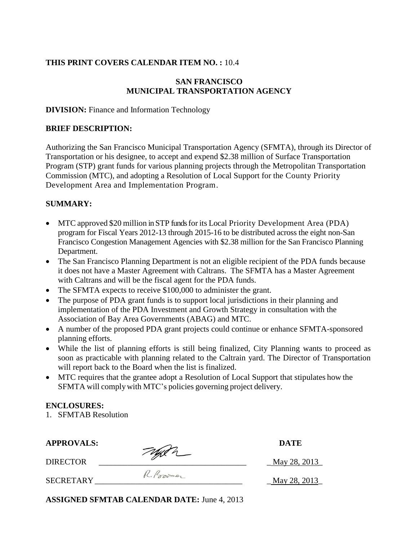### **THIS PRINT COVERS CALENDAR ITEM NO. :** 10.4

### **SAN FRANCISCO MUNICIPAL TRANSPORTATION AGENCY**

#### **DIVISION:** Finance and Information Technology

#### **BRIEF DESCRIPTION:**

Authorizing the San Francisco Municipal Transportation Agency (SFMTA), through its Director of Transportation or his designee, to accept and expend \$2.38 million of Surface Transportation Program (STP) grant funds for various planning projects through the Metropolitan Transportation Commission (MTC), and adopting a Resolution of Local Support for the County Priority Development Area and Implementation Program.

### **SUMMARY:**

- MTC approved \$20 million in STP funds for its Local Priority Development Area (PDA) program for Fiscal Years 2012-13 through 2015-16 to be distributed across the eight non-San Francisco Congestion Management Agencies with \$2.38 million for the San Francisco Planning Department.
- The San Francisco Planning Department is not an eligible recipient of the PDA funds because it does not have a Master Agreement with Caltrans. The SFMTA has a Master Agreement with Caltrans and will be the fiscal agent for the PDA funds.
- The SFMTA expects to receive \$100,000 to administer the grant.
- The purpose of PDA grant funds is to support local jurisdictions in their planning and implementation of the PDA Investment and Growth Strategy in consultation with the Association of Bay Area Governments (ABAG) and MTC.
- A number of the proposed PDA grant projects could continue or enhance SFMTA-sponsored planning efforts.
- While the list of planning efforts is still being finalized, City Planning wants to proceed as soon as practicable with planning related to the Caltrain yard. The Director of Transportation will report back to the Board when the list is finalized.
- MTC requires that the grantee adopt a Resolution of Local Support that stipulates how the SFMTA will complywith MTC's policies governing project delivery.

#### **ENCLOSURES:**

1. SFMTAB Resolution

APPROVALS: DATE DIRECTOR \_\_\_\_\_\_\_\_\_\_\_\_\_\_\_\_\_\_\_\_\_\_\_\_\_\_\_\_\_\_\_\_\_\_\_\_ \_ May 28, 2013\_

 $\ell$ .  $\ell$  or  $\ell$  and  $\ell$  and  $\ell$  and  $\ell$  and  $\ell$  and  $\ell$  and  $\ell$  and  $\ell$  and  $\ell$  and  $\ell$  and  $\ell$  and  $\ell$  and  $\ell$  and  $\ell$  and  $\ell$  and  $\ell$  and  $\ell$  and  $\ell$  and  $\ell$  and  $\ell$  and  $\ell$  and  $\ell$  and  $\ell$  and

**ASSIGNED SFMTAB CALENDAR DATE:** June 4, 2013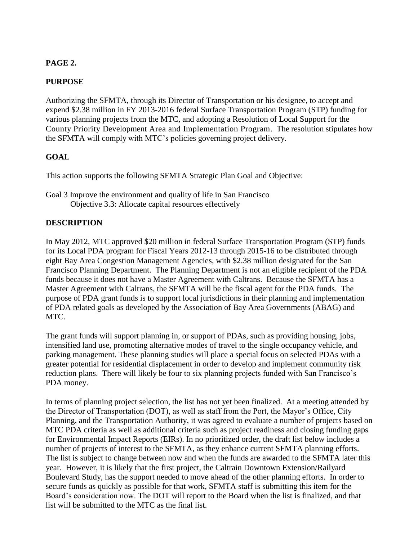# **PAGE 2.**

## **PURPOSE**

Authorizing the SFMTA, through its Director of Transportation or his designee, to accept and expend \$2.38 million in FY 2013-2016 federal Surface Transportation Program (STP) funding for various planning projects from the MTC, and adopting a Resolution of Local Support for the County Priority Development Area and Implementation Program. The resolution stipulates how the SFMTA will comply with MTC's policies governing project delivery.

## **GOAL**

This action supports the following SFMTA Strategic Plan Goal and Objective:

Goal 3 Improve the environment and quality of life in San Francisco Objective 3.3: Allocate capital resources effectively

## **DESCRIPTION**

In May 2012, MTC approved \$20 million in federal Surface Transportation Program (STP) funds for its Local PDA program for Fiscal Years 2012-13 through 2015-16 to be distributed through eight Bay Area Congestion Management Agencies, with \$2.38 million designated for the San Francisco Planning Department. The Planning Department is not an eligible recipient of the PDA funds because it does not have a Master Agreement with Caltrans. Because the SFMTA has a Master Agreement with Caltrans, the SFMTA will be the fiscal agent for the PDA funds. The purpose of PDA grant funds is to support local jurisdictions in their planning and implementation of PDA related goals as developed by the Association of Bay Area Governments (ABAG) and MTC.

The grant funds will support planning in, or support of PDAs, such as providing housing, jobs, intensified land use, promoting alternative modes of travel to the single occupancy vehicle, and parking management. These planning studies will place a special focus on selected PDAs with a greater potential for residential displacement in order to develop and implement community risk reduction plans. There will likely be four to six planning projects funded with San Francisco's PDA money.

In terms of planning project selection, the list has not yet been finalized. At a meeting attended by the Director of Transportation (DOT), as well as staff from the Port, the Mayor's Office, City Planning, and the Transportation Authority, it was agreed to evaluate a number of projects based on MTC PDA criteria as well as additional criteria such as project readiness and closing funding gaps for Environmental Impact Reports (EIRs). In no prioritized order, the draft list below includes a number of projects of interest to the SFMTA, as they enhance current SFMTA planning efforts. The list is subject to change between now and when the funds are awarded to the SFMTA later this year. However, it is likely that the first project, the Caltrain Downtown Extension/Railyard Boulevard Study, has the support needed to move ahead of the other planning efforts. In order to secure funds as quickly as possible for that work, SFMTA staff is submitting this item for the Board's consideration now. The DOT will report to the Board when the list is finalized, and that list will be submitted to the MTC as the final list.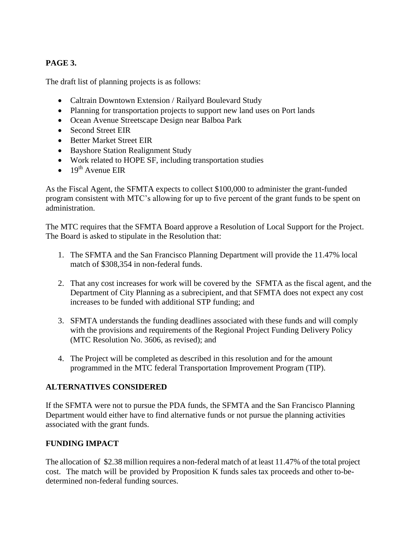# **PAGE 3.**

The draft list of planning projects is as follows:

- Caltrain Downtown Extension / Railyard Boulevard Study
- Planning for transportation projects to support new land uses on Port lands
- Ocean Avenue Streetscape Design near Balboa Park
- Second Street EIR
- Better Market Street EIR
- Bayshore Station Realignment Study
- Work related to HOPE SF, including transportation studies
- $\bullet$  19<sup>th</sup> Avenue EIR

As the Fiscal Agent, the SFMTA expects to collect \$100,000 to administer the grant-funded program consistent with MTC's allowing for up to five percent of the grant funds to be spent on administration.

The MTC requires that the SFMTA Board approve a Resolution of Local Support for the Project. The Board is asked to stipulate in the Resolution that:

- 1. The SFMTA and the San Francisco Planning Department will provide the 11.47% local match of \$308,354 in non-federal funds.
- 2. That any cost increases for work will be covered by the SFMTA as the fiscal agent, and the Department of City Planning as a subrecipient, and that SFMTA does not expect any cost increases to be funded with additional STP funding; and
- 3. SFMTA understands the funding deadlines associated with these funds and will comply with the provisions and requirements of the Regional Project Funding Delivery Policy (MTC Resolution No. 3606, as revised); and
- 4. The Project will be completed as described in this resolution and for the amount programmed in the MTC federal Transportation Improvement Program (TIP).

### **ALTERNATIVES CONSIDERED**

If the SFMTA were not to pursue the PDA funds, the SFMTA and the San Francisco Planning Department would either have to find alternative funds or not pursue the planning activities associated with the grant funds.

# **FUNDING IMPACT**

The allocation of \$2.38 million requires a non-federal match of at least 11.47% of the total project cost. The match will be provided by Proposition K funds sales tax proceeds and other to-bedetermined non-federal funding sources.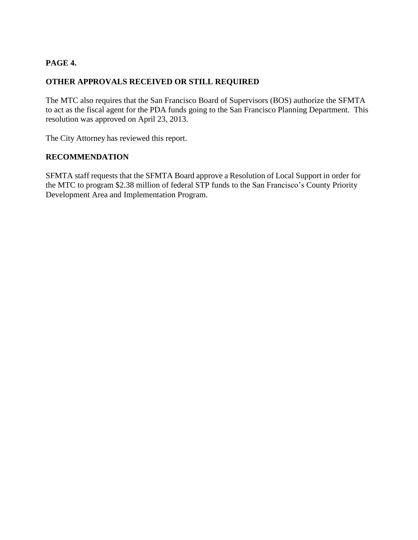# **PAGE 4.**

## **OTHER APPROVALS RECEIVED OR STILL REQUIRED**

The MTC also requires that the San Francisco Board of Supervisors (BOS) authorize the SFMTA to act as the fiscal agent for the PDA funds going to the San Francisco Planning Department. This resolution was approved on April 23, 2013.

The City Attorney has reviewed this report.

### **RECOMMENDATION**

SFMTA staff requests that the SFMTA Board approve a Resolution of Local Support in order for the MTC to program \$2.38 million of federal STP funds to the San Francisco's County Priority Development Area and Implementation Program.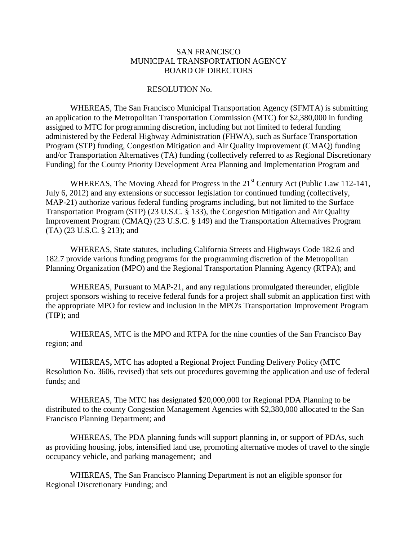#### SAN FRANCISCO MUNICIPAL TRANSPORTATION AGENCY BOARD OF DIRECTORS

RESOLUTION No.

WHEREAS, The San Francisco Municipal Transportation Agency (SFMTA) is submitting an application to the Metropolitan Transportation Commission (MTC) for \$2,380,000 in funding assigned to MTC for programming discretion, including but not limited to federal funding administered by the Federal Highway Administration (FHWA), such as Surface Transportation Program (STP) funding, Congestion Mitigation and Air Quality Improvement (CMAQ) funding and/or Transportation Alternatives (TA) funding (collectively referred to as Regional Discretionary Funding) for the County Priority Development Area Planning and Implementation Program and

WHEREAS, The Moving Ahead for Progress in the 21<sup>st</sup> Century Act (Public Law 112-141, July 6, 2012) and any extensions or successor legislation for continued funding (collectively, MAP-21) authorize various federal funding programs including, but not limited to the Surface Transportation Program (STP) (23 U.S.C. § 133), the Congestion Mitigation and Air Quality Improvement Program (CMAQ) (23 U.S.C. § 149) and the Transportation Alternatives Program (TA) (23 U.S.C. § 213); and

WHEREAS, State statutes, including California Streets and Highways Code 182.6 and 182.7 provide various funding programs for the programming discretion of the Metropolitan Planning Organization (MPO) and the Regional Transportation Planning Agency (RTPA); and

WHEREAS, Pursuant to MAP-21, and any regulations promulgated thereunder, eligible project sponsors wishing to receive federal funds for a project shall submit an application first with the appropriate MPO for review and inclusion in the MPO's Transportation Improvement Program (TIP); and

WHEREAS, MTC is the MPO and RTPA for the nine counties of the San Francisco Bay region; and

WHEREAS**,** MTC has adopted a Regional Project Funding Delivery Policy (MTC Resolution No. 3606, revised) that sets out procedures governing the application and use of federal funds; and

WHEREAS, The MTC has designated \$20,000,000 for Regional PDA Planning to be distributed to the county Congestion Management Agencies with \$2,380,000 allocated to the San Francisco Planning Department; and

WHEREAS, The PDA planning funds will support planning in, or support of PDAs, such as providing housing, jobs, intensified land use, promoting alternative modes of travel to the single occupancy vehicle, and parking management; and

WHEREAS, The San Francisco Planning Department is not an eligible sponsor for Regional Discretionary Funding; and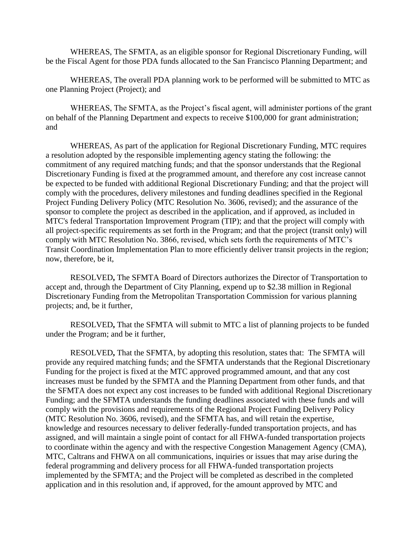WHEREAS, The SFMTA, as an eligible sponsor for Regional Discretionary Funding, will be the Fiscal Agent for those PDA funds allocated to the San Francisco Planning Department; and

WHEREAS, The overall PDA planning work to be performed will be submitted to MTC as one Planning Project (Project); and

WHEREAS, The SFMTA, as the Project's fiscal agent, will administer portions of the grant on behalf of the Planning Department and expects to receive \$100,000 for grant administration; and

WHEREAS, As part of the application for Regional Discretionary Funding, MTC requires a resolution adopted by the responsible implementing agency stating the following: the commitment of any required matching funds; and that the sponsor understands that the Regional Discretionary Funding is fixed at the programmed amount, and therefore any cost increase cannot be expected to be funded with additional Regional Discretionary Funding; and that the project will comply with the procedures, delivery milestones and funding deadlines specified in the Regional Project Funding Delivery Policy (MTC Resolution No. 3606, revised); and the assurance of the sponsor to complete the project as described in the application, and if approved, as included in MTC's federal Transportation Improvement Program (TIP); and that the project will comply with all project-specific requirements as set forth in the Program; and that the project (transit only) will comply with MTC Resolution No. 3866, revised, which sets forth the requirements of MTC's Transit Coordination Implementation Plan to more efficiently deliver transit projects in the region; now, therefore, be it,

RESOLVED**,** The SFMTA Board of Directors authorizes the Director of Transportation to accept and, through the Department of City Planning, expend up to \$2.38 million in Regional Discretionary Funding from the Metropolitan Transportation Commission for various planning projects; and, be it further,

RESOLVED**,** That the SFMTA will submit to MTC a list of planning projects to be funded under the Program; and be it further,

RESOLVED**,** That the SFMTA, by adopting this resolution, states that: The SFMTA will provide any required matching funds; and the SFMTA understands that the Regional Discretionary Funding for the project is fixed at the MTC approved programmed amount, and that any cost increases must be funded by the SFMTA and the Planning Department from other funds, and that the SFMTA does not expect any cost increases to be funded with additional Regional Discretionary Funding; and the SFMTA understands the funding deadlines associated with these funds and will comply with the provisions and requirements of the Regional Project Funding Delivery Policy (MTC Resolution No. 3606, revised), and the SFMTA has, and will retain the expertise, knowledge and resources necessary to deliver federally-funded transportation projects, and has assigned, and will maintain a single point of contact for all FHWA-funded transportation projects to coordinate within the agency and with the respective Congestion Management Agency (CMA), MTC, Caltrans and FHWA on all communications, inquiries or issues that may arise during the federal programming and delivery process for all FHWA-funded transportation projects implemented by the SFMTA; and the Project will be completed as described in the completed application and in this resolution and, if approved, for the amount approved by MTC and